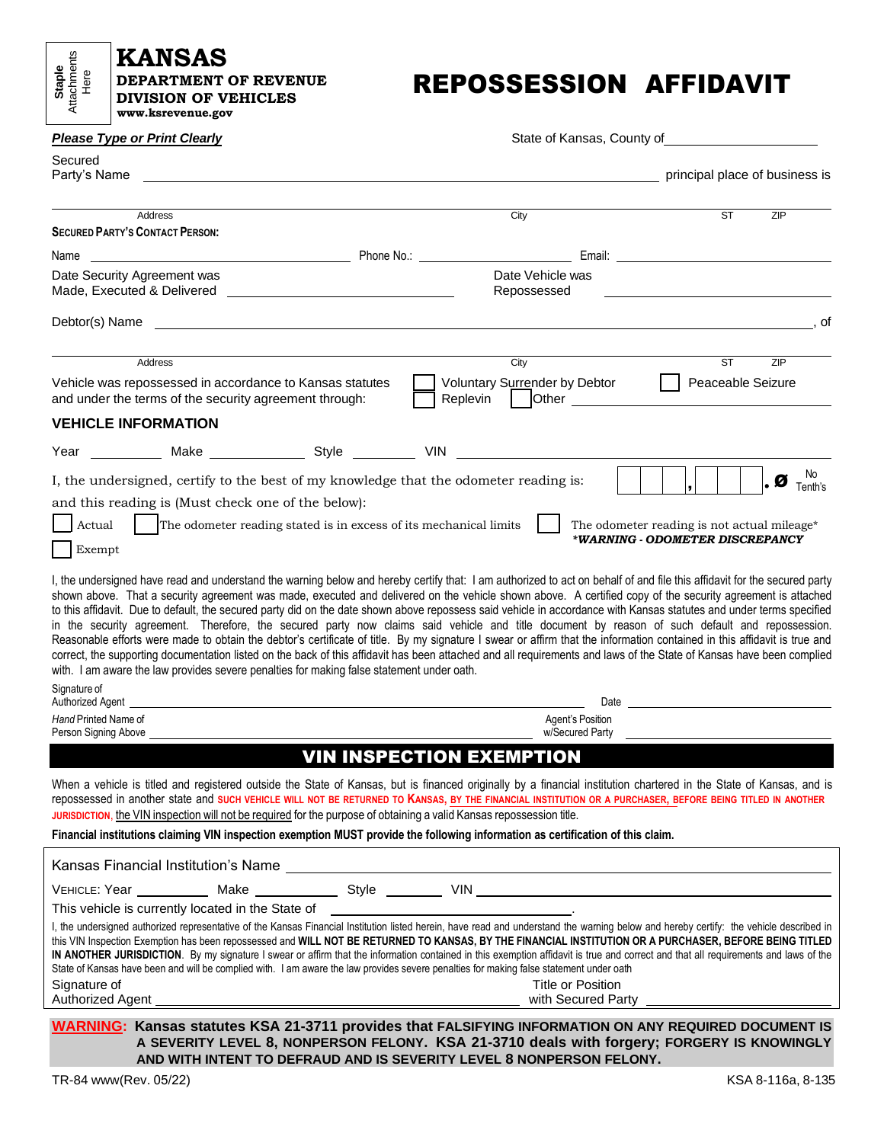## **KANSAS DEPARTMENT OF REVENUE**

Staple<br>Attachments<br>Here

**DIVISION OF VEHICLES [www.ksrevenue.gov](http://www.ksrevenue.gov/)** 

## REPOSSESSION AFFIDAVIT

| <b>Please Type or Print Clearly</b>                                                                                                                                                                                                                                                                                                                                                                                                                                                                                                                                                                                                                                                                                                                                                                                                                                                                                                                                                                                                                                                                               |                                                                                  | State of Kansas, County of                                                     |
|-------------------------------------------------------------------------------------------------------------------------------------------------------------------------------------------------------------------------------------------------------------------------------------------------------------------------------------------------------------------------------------------------------------------------------------------------------------------------------------------------------------------------------------------------------------------------------------------------------------------------------------------------------------------------------------------------------------------------------------------------------------------------------------------------------------------------------------------------------------------------------------------------------------------------------------------------------------------------------------------------------------------------------------------------------------------------------------------------------------------|----------------------------------------------------------------------------------|--------------------------------------------------------------------------------|
| Secured<br>Party's Name                                                                                                                                                                                                                                                                                                                                                                                                                                                                                                                                                                                                                                                                                                                                                                                                                                                                                                                                                                                                                                                                                           |                                                                                  | principal place of business is                                                 |
| Address                                                                                                                                                                                                                                                                                                                                                                                                                                                                                                                                                                                                                                                                                                                                                                                                                                                                                                                                                                                                                                                                                                           | City                                                                             | <b>ST</b><br>ZIP                                                               |
| <b>SECURED PARTY'S CONTACT PERSON:</b>                                                                                                                                                                                                                                                                                                                                                                                                                                                                                                                                                                                                                                                                                                                                                                                                                                                                                                                                                                                                                                                                            |                                                                                  |                                                                                |
| Name<br><u> 1989 - Johann Stoff, amerikansk politiker (d. 1989)</u>                                                                                                                                                                                                                                                                                                                                                                                                                                                                                                                                                                                                                                                                                                                                                                                                                                                                                                                                                                                                                                               | Phone No.: <u>____________________________</u>                                   |                                                                                |
| Date Security Agreement was<br>Made, Executed & Delivered                                                                                                                                                                                                                                                                                                                                                                                                                                                                                                                                                                                                                                                                                                                                                                                                                                                                                                                                                                                                                                                         | Date Vehicle was<br>Repossessed                                                  |                                                                                |
| Debtor(s) Name __                                                                                                                                                                                                                                                                                                                                                                                                                                                                                                                                                                                                                                                                                                                                                                                                                                                                                                                                                                                                                                                                                                 | ,我们也不会有什么。""我们的人,我们也不会有什么?""我们的人,我们也不会有什么?""我们的人,我们也不会有什么?""我们的人,我们也不会有什么?""我们的人 | , of                                                                           |
|                                                                                                                                                                                                                                                                                                                                                                                                                                                                                                                                                                                                                                                                                                                                                                                                                                                                                                                                                                                                                                                                                                                   |                                                                                  |                                                                                |
| Address<br>Vehicle was repossessed in accordance to Kansas statutes<br>and under the terms of the security agreement through:                                                                                                                                                                                                                                                                                                                                                                                                                                                                                                                                                                                                                                                                                                                                                                                                                                                                                                                                                                                     | City<br>Voluntary Surrender by Debtor<br>Replevin                                | <b>ST</b><br><b>ZIP</b><br>Peaceable Seizure                                   |
| <b>VEHICLE INFORMATION</b>                                                                                                                                                                                                                                                                                                                                                                                                                                                                                                                                                                                                                                                                                                                                                                                                                                                                                                                                                                                                                                                                                        |                                                                                  |                                                                                |
| Year ___________ Make _______________ Style ____________ VIN ___________________                                                                                                                                                                                                                                                                                                                                                                                                                                                                                                                                                                                                                                                                                                                                                                                                                                                                                                                                                                                                                                  |                                                                                  |                                                                                |
| I, the undersigned, certify to the best of my knowledge that the odometer reading is:                                                                                                                                                                                                                                                                                                                                                                                                                                                                                                                                                                                                                                                                                                                                                                                                                                                                                                                                                                                                                             |                                                                                  | No<br>. Ø<br>Tenth's                                                           |
| and this reading is (Must check one of the below):<br>The odometer reading stated is in excess of its mechanical limits<br>Actual<br>Exempt                                                                                                                                                                                                                                                                                                                                                                                                                                                                                                                                                                                                                                                                                                                                                                                                                                                                                                                                                                       |                                                                                  | The odometer reading is not actual mileage*<br>*WARNING - ODOMETER DISCREPANCY |
| I, the undersigned have read and understand the warning below and hereby certify that: I am authorized to act on behalf of and file this affidavit for the secured party<br>shown above. That a security agreement was made, executed and delivered on the vehicle shown above. A certified copy of the security agreement is attached<br>to this affidavit. Due to default, the secured party did on the date shown above repossess said vehicle in accordance with Kansas statutes and under terms specified<br>in the security agreement. Therefore, the secured party now claims said vehicle and title document by reason of such default and repossession.<br>Reasonable efforts were made to obtain the debtor's certificate of title. By my signature I swear or affirm that the information contained in this affidavit is true and<br>correct, the supporting documentation listed on the back of this affidavit has been attached and all requirements and laws of the State of Kansas have been complied<br>with. I am aware the law provides severe penalties for making false statement under oath. |                                                                                  |                                                                                |
| Signature of<br>Authorized Agent                                                                                                                                                                                                                                                                                                                                                                                                                                                                                                                                                                                                                                                                                                                                                                                                                                                                                                                                                                                                                                                                                  |                                                                                  | Date                                                                           |
| Hand Printed Name of<br>Person Signing Above                                                                                                                                                                                                                                                                                                                                                                                                                                                                                                                                                                                                                                                                                                                                                                                                                                                                                                                                                                                                                                                                      |                                                                                  | Agent's Position<br>w/Secured Party                                            |
|                                                                                                                                                                                                                                                                                                                                                                                                                                                                                                                                                                                                                                                                                                                                                                                                                                                                                                                                                                                                                                                                                                                   | <b>VIN INSPECTION EXEMPTION</b>                                                  |                                                                                |
| When a vehicle is titled and registered outside the State of Kansas, but is financed originally by a financial institution chartered in the State of Kansas, and is<br>repossessed in another state and SUCH VEHICLE WILL NOT BE RETURNED TO KANSAS, BY THE FINANCIAL INSTITUTION OR A PURCHASER, BEFORE BEING TITLED IN ANOTHER<br>JURISDICTION, the VIN inspection will not be required for the purpose of obtaining a valid Kansas repossession title.<br>Financial institutions claiming VIN inspection exemption MUST provide the following information as certification of this claim.                                                                                                                                                                                                                                                                                                                                                                                                                                                                                                                      |                                                                                  |                                                                                |
|                                                                                                                                                                                                                                                                                                                                                                                                                                                                                                                                                                                                                                                                                                                                                                                                                                                                                                                                                                                                                                                                                                                   |                                                                                  |                                                                                |
|                                                                                                                                                                                                                                                                                                                                                                                                                                                                                                                                                                                                                                                                                                                                                                                                                                                                                                                                                                                                                                                                                                                   |                                                                                  |                                                                                |
| This vehicle is currently located in the State of ______________________________                                                                                                                                                                                                                                                                                                                                                                                                                                                                                                                                                                                                                                                                                                                                                                                                                                                                                                                                                                                                                                  |                                                                                  |                                                                                |
| I, the undersigned authorized representative of the Kansas Financial Institution listed herein, have read and understand the warning below and hereby certify: the vehicle described in<br>this VIN Inspection Exemption has been repossessed and WILL NOT BE RETURNED TO KANSAS, BY THE FINANCIAL INSTITUTION OR A PURCHASER, BEFORE BEING TITLED<br>IN ANOTHER JURISDICTION. By my signature I swear or affirm that the information contained in this exemption affidavit is true and correct and that all requirements and laws of the<br>State of Kansas have been and will be complied with. I am aware the law provides severe penalties for making false statement under oath<br>Signature of                                                                                                                                                                                                                                                                                                                                                                                                              |                                                                                  | Title or Position                                                              |
|                                                                                                                                                                                                                                                                                                                                                                                                                                                                                                                                                                                                                                                                                                                                                                                                                                                                                                                                                                                                                                                                                                                   |                                                                                  |                                                                                |
| WARNING: Kansas statutes KSA 21-3711 provides that FALSIFYING INFORMATION ON ANY REQUIRED DOCUMENT IS                                                                                                                                                                                                                                                                                                                                                                                                                                                                                                                                                                                                                                                                                                                                                                                                                                                                                                                                                                                                             |                                                                                  |                                                                                |

**A SEVERITY LEVEL 8, NONPERSON FELONY. KSA 21-3710 deals with forgery; FORGERY IS KNOWINGLY AND WITH INTENT TO DEFRAUD AND IS SEVERITY LEVEL 8 NONPERSON FELONY.**